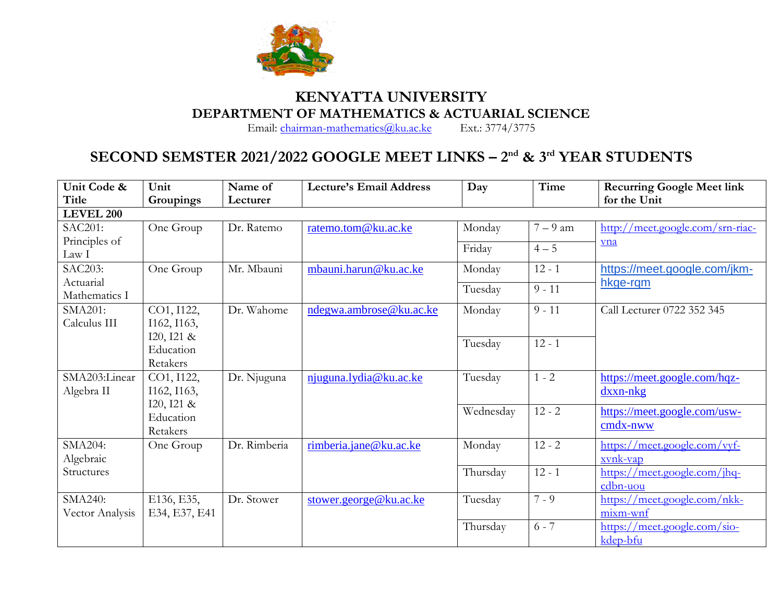

## **KENYATTA UNIVERSITY DEPARTMENT OF MATHEMATICS & ACTUARIAL SCIENCE**<br>Email: chairman-mathematics@ku.ac.ke Ext.: 3774/3775

Email: [chairman-mathematics@ku.ac.ke](mailto:chairman-mathematics@ku.ac.ke)

## **SECOND SEMSTER 2021/2022 GOOGLE MEET LINKS – 2 nd & 3rd YEAR STUDENTS**

| Unit Code &      | Unit          | Name of      | <b>Lecture's Email Address</b> | Day       | Time     | <b>Recurring Google Meet link</b> |  |
|------------------|---------------|--------------|--------------------------------|-----------|----------|-----------------------------------|--|
| Title            | Groupings     | Lecturer     |                                |           |          | for the Unit                      |  |
| <b>LEVEL 200</b> |               |              |                                |           |          |                                   |  |
| <b>SAC201:</b>   | One Group     | Dr. Ratemo   | ratemo.tom@ku.ac.ke            | Monday    | $7-9$ am | http://meet.google.com/srn-riac-  |  |
| Principles of    |               |              |                                | Friday    | $4 - 5$  | vna                               |  |
| Law I            |               |              |                                |           |          |                                   |  |
| <b>SAC203:</b>   | One Group     | Mr. Mbauni   | mbauni.harun@ku.ac.ke          | Monday    | $12 - 1$ | https://meet.google.com/jkm-      |  |
| Actuarial        |               |              |                                | Tuesday   | $9 - 11$ | hkge-rqm                          |  |
| Mathematics I    |               |              |                                |           |          |                                   |  |
| SMA201:          | CO1, I122,    | Dr. Wahome   | ndegwa.ambrose@ku.ac.ke        | Monday    | $9 - 11$ | Call Lecturer 0722 352 345        |  |
| Calculus III     | I162, I163,   |              |                                |           |          |                                   |  |
|                  | I20, I21 &    |              |                                | Tuesday   | $12 - 1$ |                                   |  |
|                  | Education     |              |                                |           |          |                                   |  |
|                  | Retakers      |              |                                |           |          |                                   |  |
| SMA203:Linear    | CO1, I122,    | Dr. Njuguna  | njuguna.lydia@ku.ac.ke         | Tuesday   | $1 - 2$  | https://meet.google.com/hqz-      |  |
| Algebra II       | I162, I163,   |              |                                |           |          | $dxxn-nkg$                        |  |
|                  | I20, I21 &    |              |                                | Wednesday | $12 - 2$ | https://meet.google.com/usw-      |  |
|                  | Education     |              |                                |           |          |                                   |  |
|                  | Retakers      |              |                                |           |          | $cmdx$ -nww                       |  |
| SMA204:          | One Group     | Dr. Rimberia | rimberia.jane@ku.ac.ke         | Monday    | $12 - 2$ | https://meet.google.com/vyf-      |  |
| Algebraic        |               |              |                                |           |          | xvnk-vap                          |  |
| Structures       |               |              |                                | Thursday  | $12 - 1$ | https://meet.google.com/jhq-      |  |
|                  |               |              |                                |           |          | cdbn-uou                          |  |
| <b>SMA240:</b>   | E136, E35,    | Dr. Stower   | stower.george@ku.ac.ke         | Tuesday   | $7 - 9$  | https://meet.google.com/nkk-      |  |
| Vector Analysis  | E34, E37, E41 |              |                                |           |          | mixm-wnf                          |  |
|                  |               |              |                                | Thursday  | $6 - 7$  | https://meet.google.com/sio-      |  |
|                  |               |              |                                |           |          | kdep-bfu                          |  |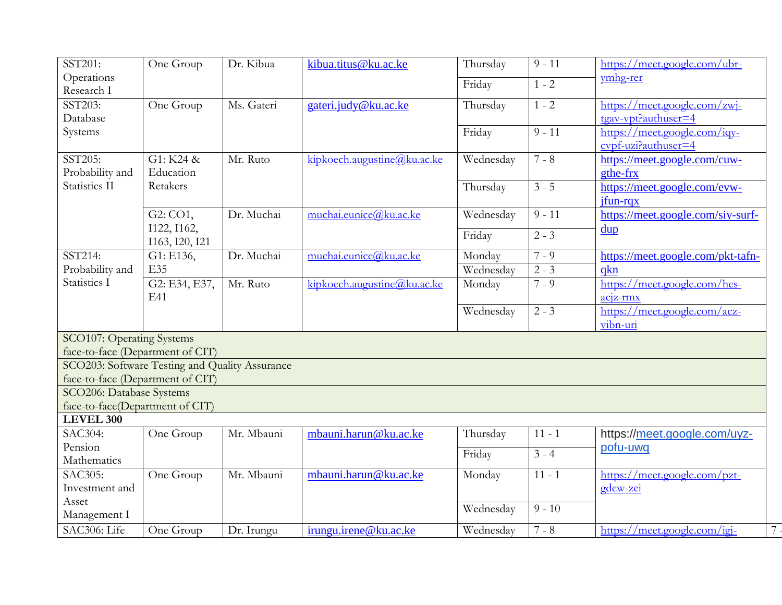| SST201:                                        | One Group      | Dr. Kibua  | kibua.titus@ku.ac.ke        | Thursday  | $\overline{9} - 11$ | https://meet.google.com/ubr-                                  |  |  |
|------------------------------------------------|----------------|------------|-----------------------------|-----------|---------------------|---------------------------------------------------------------|--|--|
| Operations                                     |                |            |                             | Friday    | $1 - 2$             | ymhg-rer                                                      |  |  |
| Research I                                     |                |            |                             |           |                     |                                                               |  |  |
| SST203:                                        | One Group      | Ms. Gateri | gateri.judy@ku.ac.ke        | Thursday  | $1 - 2$             | https://meet.google.com/zwj-                                  |  |  |
| Database                                       |                |            |                             |           |                     | tgav-vpt?authuser=4                                           |  |  |
| Systems                                        |                |            |                             | Friday    | $9 - 11$            | https://meet.google.com/iqv-                                  |  |  |
|                                                |                |            |                             |           |                     | $\frac{\text{cvpf-uzi?} \text{authuser}=4}{\text{cvpf-uzi?}}$ |  |  |
| SST205:                                        | G1: K24 &      | Mr. Ruto   | kipkoech.augustine@ku.acke  | Wednesday | $7 - 8$             | https://meet.google.com/cuw-                                  |  |  |
| Probability and                                | Education      |            |                             |           |                     | gthe-frx                                                      |  |  |
| Statistics II                                  | Retakers       |            |                             | Thursday  | $\overline{3} - 5$  | https://meet.google.com/evw-                                  |  |  |
|                                                |                |            |                             |           |                     | jfun-rqx                                                      |  |  |
|                                                | G2: CO1,       | Dr. Muchai | muchai.eunice@ku.ac.ke      | Wednesday | $9 - 11$            | https://meet.google.com/siy-surf-                             |  |  |
|                                                | I122, I162,    |            |                             |           |                     | $\frac{dup}{dt}$                                              |  |  |
|                                                | I163, I20, I21 |            |                             | Friday    | $2 - 3$             |                                                               |  |  |
| SST214:                                        | G1: E136,      | Dr. Muchai | muchai.eunice@ku.ac.ke      | Monday    | $7 - 9$             | https://meet.google.com/pkt-tafn-                             |  |  |
| Probability and                                | E35            |            |                             | Wednesday | $2 - 3$             | qkn                                                           |  |  |
| Statistics I                                   | G2: E34, E37,  | Mr. Ruto   | kipkoech.augustine@ku.ac.ke | Monday    | $7 - 9$             | https://meet.google.com/hes-                                  |  |  |
|                                                | E41            |            |                             |           |                     | $acjz-rmx$                                                    |  |  |
|                                                |                |            |                             | Wednesday | $2 - 3$             | https://meet.google.com/acz-                                  |  |  |
|                                                |                |            |                             |           |                     | vibn-uri                                                      |  |  |
| <b>SCO107: Operating Systems</b>               |                |            |                             |           |                     |                                                               |  |  |
| face-to-face (Department of CIT)               |                |            |                             |           |                     |                                                               |  |  |
| SCO203: Software Testing and Quality Assurance |                |            |                             |           |                     |                                                               |  |  |
| face-to-face (Department of CIT)               |                |            |                             |           |                     |                                                               |  |  |
| SCO206: Database Systems                       |                |            |                             |           |                     |                                                               |  |  |
| face-to-face(Department of CIT)                |                |            |                             |           |                     |                                                               |  |  |
| <b>LEVEL 300</b>                               |                |            |                             |           |                     |                                                               |  |  |
| <b>SAC304:</b>                                 | One Group      | Mr. Mbauni | mbauni.harun@ku.ac.ke       | Thursday  | $11 - 1$            | https://meet.google.com/uyz-                                  |  |  |
| Pension                                        |                |            |                             |           | $3 - 4$             | pofu-uwq                                                      |  |  |
| Mathematics                                    |                |            |                             | Friday    |                     |                                                               |  |  |
| SAC305:                                        | One Group      | Mr. Mbauni | mbauni.harun@ku.ac.ke       | Monday    | $11 - 1$            | https://meet.google.com/pzt-                                  |  |  |
| Investment and                                 |                |            |                             |           |                     | gdew-zei                                                      |  |  |
| Asset                                          |                |            |                             |           | $9 - 10$            |                                                               |  |  |
| Management I                                   |                |            |                             | Wednesday |                     |                                                               |  |  |
| SAC306: Life                                   | One Group      | Dr. Irungu | irungu.irene@ku.ac.ke       | Wednesday | $7 - 8$             | https://meet.google.com/igj-                                  |  |  |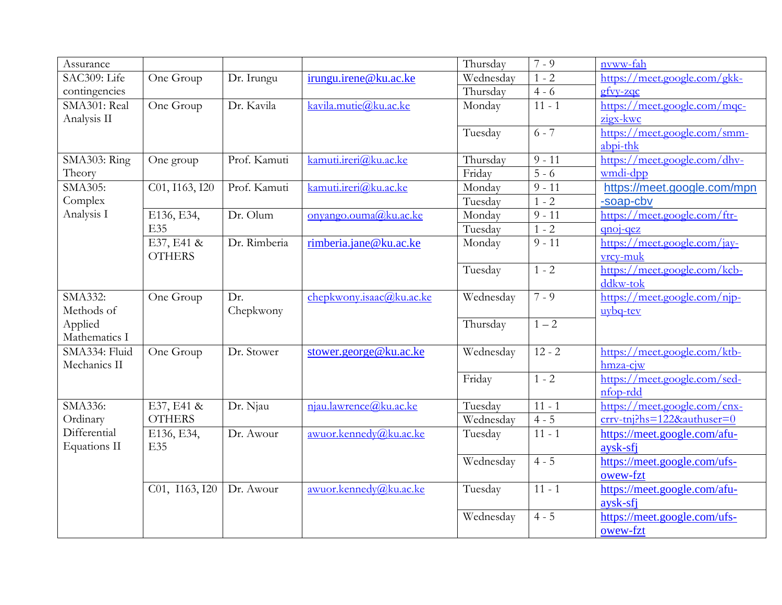| Assurance                |                             |              |                          | Thursday  | $7 - 9$             | nvww-fah                              |
|--------------------------|-----------------------------|--------------|--------------------------|-----------|---------------------|---------------------------------------|
| SAC309: Life             | One Group                   | Dr. Irungu   | irungu.irene@ku.ac.ke    | Wednesday | $1 - 2$             | https://meet.google.com/gkk-          |
| contingencies            |                             |              |                          | Thursday  | $4 - 6$             | $gf_{VV-ZQC}$                         |
| SMA301: Real             | One Group                   | Dr. Kavila   | kavila.mutie@ku.ac.ke    | Monday    | $11 - 1$            | https://meet.google.com/mqc-          |
| Analysis II              |                             |              |                          |           |                     | zigx-kwc                              |
|                          |                             |              |                          | Tuesday   | $6 - 7$             | https://meet.google.com/smm-          |
|                          |                             |              |                          |           |                     | abpi-thk                              |
| SMA303: Ring             | One group                   | Prof. Kamuti | kamuti.ireri@ku.ac.ke    | Thursday  | $9 - 11$            | https://meet.google.com/dhv-          |
| Theory                   |                             |              |                          | Friday    | $5 - 6$             | wmdi-dpp                              |
| SMA305:                  | C01, I163, I20              | Prof. Kamuti | kamuti.ireri@ku.ac.ke    | Monday    | $9 - 11$            | https://meet.google.com/mpn           |
| Complex                  |                             |              |                          | Tuesday   | $1 - 2$             | -soap-cbv                             |
| Analysis I               | E136, E34,                  | Dr. Olum     | onyango.ouma@ku.ac.ke    | Monday    | $9 - 11$            | https://meet.google.com/ftr-          |
|                          | E35                         |              |                          | Tuesday   | $1 - 2$             | gnoj-qez                              |
|                          | $E37, E41$ &                | Dr. Rimberia | rimberia.jane@ku.ac.ke   | Monday    | $9 - 11$            | https://meet.google.com/jay-          |
|                          | <b>OTHERS</b>               |              |                          |           |                     | vrcy-muk                              |
|                          |                             |              |                          | Tuesday   | $1 - 2$             | https://meet.google.com/kcb-          |
|                          |                             |              |                          |           |                     | ddkw-tok                              |
| SMA332:                  | One Group                   | Dr.          | chepkwony.isaac@ku.ac.ke | Wednesday | $7 - 9$             | https://meet.google.com/njp-          |
| Methods of               |                             | Chepkwony    |                          |           |                     | $uvbq-tev$                            |
| Applied                  |                             |              |                          | Thursday  | $1 - 2$             |                                       |
| Mathematics I            |                             |              |                          |           |                     |                                       |
| SMA334: Fluid            | One Group                   | Dr. Stower   | stower.george@ku.ac.ke   | Wednesday | $12 - 2$            | https://meet.google.com/ktb-          |
| Mechanics II             |                             |              |                          |           |                     | hmza-cjw                              |
|                          |                             |              |                          | Friday    | $1 - 2$             | https://meet.google.com/sed-          |
|                          |                             |              |                          |           |                     | nfop-rdd                              |
| SMA336:                  | E37, E41 &<br><b>OTHERS</b> | Dr. Njau     | njau.lawrence@ku.ac.ke   | Tuesday   | $11 - 1$            | https://meet.google.com/cnx-          |
| Ordinary<br>Differential |                             |              |                          | Wednesday | $4 - 5$<br>$11 - 1$ | $\frac{crrv-tn}}{h}$ s=122&authuser=0 |
| <b>Equations II</b>      | E136, E34,                  | Dr. Awour    | awuor.kennedy@ku.ac.ke   | Tuesday   |                     | https://meet.google.com/afu-          |
|                          | <b>E35</b>                  |              |                          |           |                     | aysk-sfi                              |
|                          |                             |              |                          | Wednesday | $4 - 5$             | https://meet.google.com/ufs-          |
|                          |                             |              |                          |           |                     | owew-fzt                              |
|                          | C01, I163, I20              | Dr. Awour    | awuor.kennedy@ku.ac.ke   | Tuesday   | $11 - 1$            | https://meet.google.com/afu-          |
|                          |                             |              |                          |           |                     | aysk-sfi                              |
|                          |                             |              |                          | Wednesday | $4 - 5$             | https://meet.google.com/ufs-          |
|                          |                             |              |                          |           |                     | owew-fzt                              |